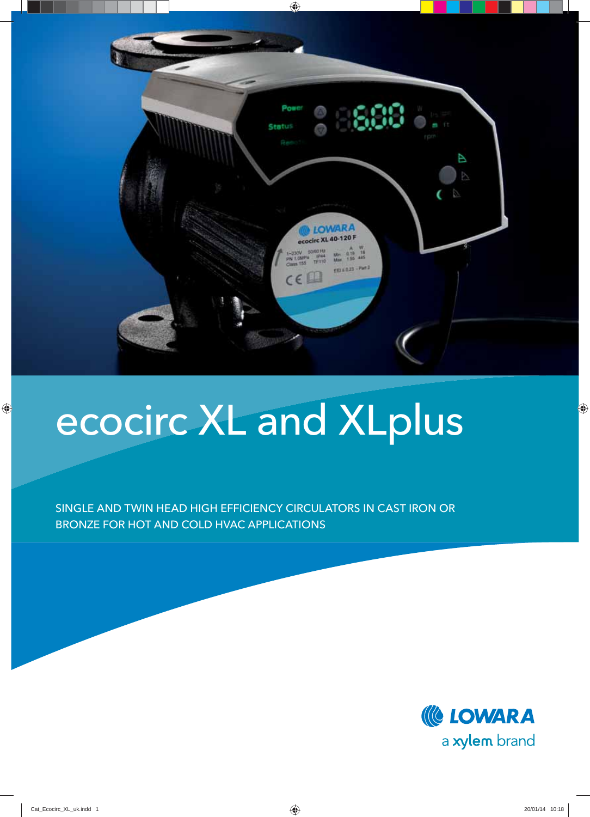

## ecocirc XL and XLplus

SINGLE AND TWIN HEAD HIGH EFFICIENCY CIRCULATORS IN CAST IRON OR BRONZE FOR HOT AND COLD HVAC APPLICATIONS

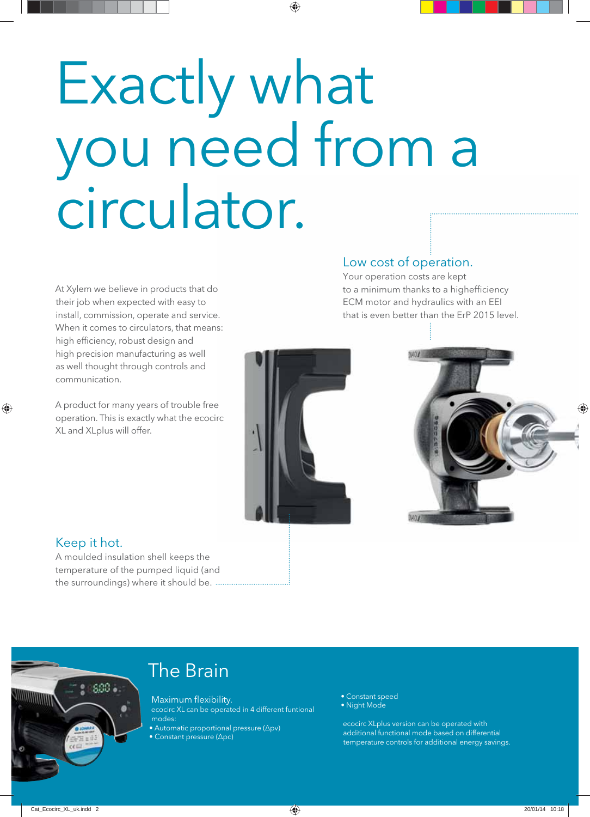# Exactly what you need from a circulator.

At Xylem we believe in products that do their job when expected with easy to install, commission, operate and service. When it comes to circulators, that means: high efficiency, robust design and high precision manufacturing as well as well thought through controls and communication.

A product for many years of trouble free operation. This is exactly what the ecocirc XL and XLplus will offer.

### Low cost of operation.

Your operation costs are kept to a minimum thanks to a highefficiency ECM motor and hydraulics with an EEI that is even better than the ErP 2015 level.





### Keep it hot.

A moulded insulation shell keeps the temperature of the pumped liquid (and the surroundings) where it should be.



## The Brain

Maximum flexibility. ecocirc XL can be operated in 4 different funtional modes:

• Automatic proportional pressure (Δpv)

• Constant pressure (Δpc)

- Constant speed
- Night Mode

ecocirc XLplus version can be operated with additional functional mode based on differential temperature controls for additional energy savings.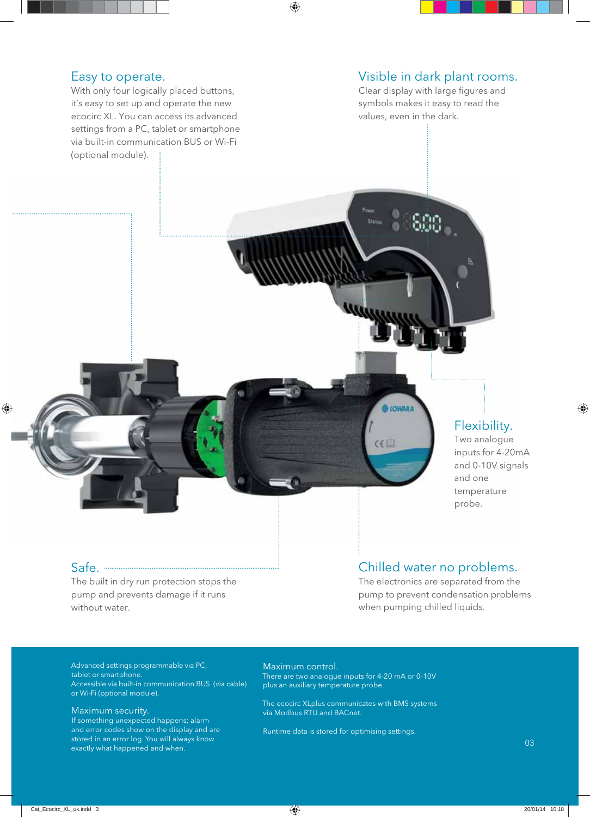#### Easy to operate.

With only four logically placed buttons, it's easy to set up and operate the new ecocirc XL. You can access its advanced settings from a PC, tablet or smartphone via built-in communication BUS or Wi-Fi (optional module).

#### Visible in dark plant rooms.

Clear display with large figures and symbols makes it easy to read the values, even in the dark.

## Flexibility.

Two analogue inputs for 4-20mA and 0-10V signals and one temperature probe.

#### Safe.

The built in dry run protection stops the pump and prevents damage if it runs without water.

### Chilled water no problems.

LOWARA

 $C \in \Box$ 

The electronics are separated from the pump to prevent condensation problems when pumping chilled liquids.

Advanced settings programmable via PC, tablet or smartphone. Accessible via built-in communication BUS (via cable) or Wi-Fi (optional module).

#### Maximum security.

If something unexpected happens; alarm and error codes show on the display and are stored in an error log. You will always know exactly what happened and when.

#### Maximum control.

There are two analogue inputs for 4-20 mA or 0-10V plus an auxiliary temperature probe.

The ecocirc XLplus communicates with BMS systems via Modbus RTU and BACnet.

Runtime data is stored for optimising settings.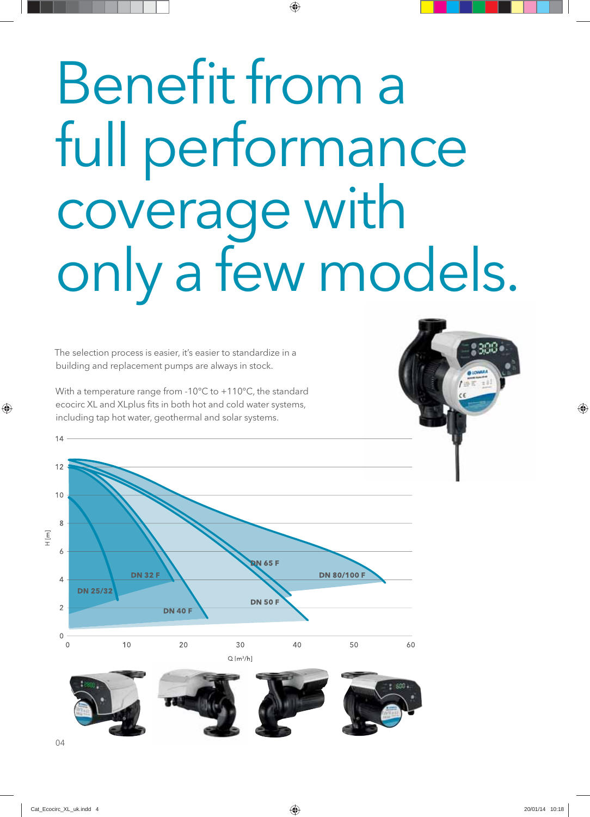# Benefit from a full performance coverage with only a few models.

The selection process is easier, it's easier to standardize in a building and replacement pumps are always in stock.

With a temperature range from -10°C to +110°C, the standard ecocirc XL and XLplus fits in both hot and cold water systems, including tap hot water, geothermal and solar systems.

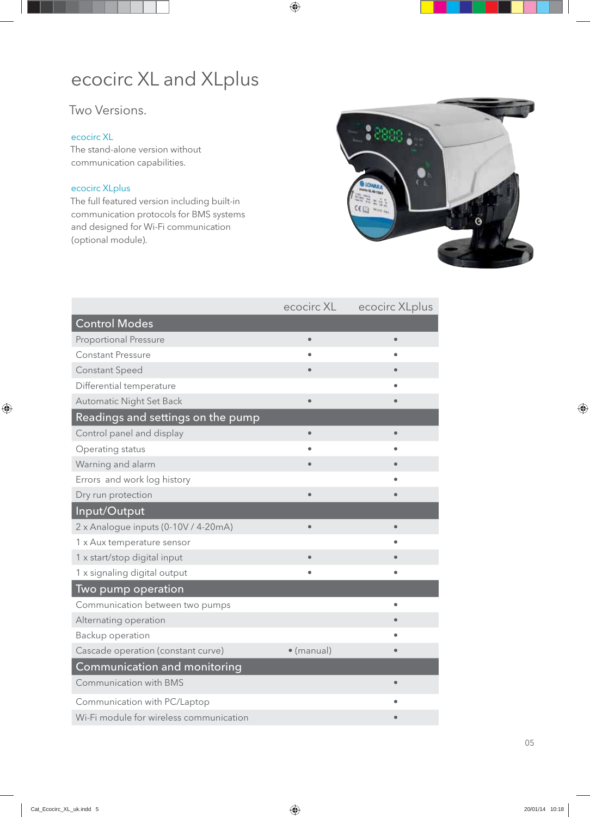## ecocirc XL and XLplus

## Two Versions.

#### ecocirc XL

The stand-alone version without communication capabilities.

#### ecocirc XLplus

The full featured version including built-in communication protocols for BMS systems and designed for Wi-Fi communication (optional module).



|                                         | ecocirc XL | ecocirc XLplus |  |  |
|-----------------------------------------|------------|----------------|--|--|
| <b>Control Modes</b>                    |            |                |  |  |
| <b>Proportional Pressure</b>            | $\bullet$  | $\bullet$      |  |  |
| <b>Constant Pressure</b>                |            |                |  |  |
| <b>Constant Speed</b>                   |            |                |  |  |
| Differential temperature                |            |                |  |  |
| Automatic Night Set Back                | $\bullet$  |                |  |  |
| Readings and settings on the pump       |            |                |  |  |
| Control panel and display               | $\bullet$  |                |  |  |
| Operating status                        |            |                |  |  |
| Warning and alarm                       |            |                |  |  |
| Errors and work log history             |            |                |  |  |
| Dry run protection                      | $\bullet$  | $\bullet$      |  |  |
| Input/Output                            |            |                |  |  |
| 2 x Analogue inputs (0-10V / 4-20mA)    | $\bullet$  | $\bullet$      |  |  |
| 1 x Aux temperature sensor              |            |                |  |  |
| 1 x start/stop digital input            | $\bullet$  |                |  |  |
| 1 x signaling digital output            |            | $\bullet$      |  |  |
| Two pump operation                      |            |                |  |  |
| Communication between two pumps         |            |                |  |  |
| Alternating operation                   |            |                |  |  |
| Backup operation                        |            |                |  |  |
| Cascade operation (constant curve)      | · (manual) | $\bullet$      |  |  |
| Communication and monitoring            |            |                |  |  |
| Communication with BMS                  |            | $\bullet$      |  |  |
| Communication with PC/Laptop            |            |                |  |  |
| Wi-Fi module for wireless communication |            |                |  |  |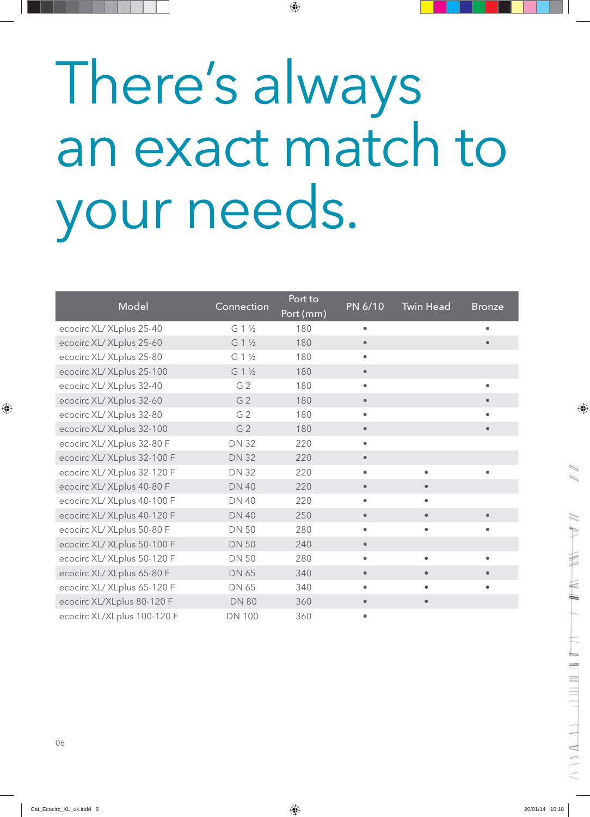# There's always an exact match to your needs.

| Model                       | Connection     | Port to<br>Port (mm) | PN 6/10   | <b>Twin Head</b> | <b>Bronze</b> |
|-----------------------------|----------------|----------------------|-----------|------------------|---------------|
| ecocirc XL/ XLplus 25-40    | G 1 1/2        | 180                  |           |                  | $\bullet$     |
| ecocirc XL/ XLplus 25-60    | G 1 1/2        | 180                  | $\bullet$ |                  |               |
| ecocirc XL/ XLplus 25-80    | G 1 1/2        | 180                  | $\bullet$ |                  |               |
| ecocirc XL/ XLplus 25-100   | G 1 1/2        | 180                  | $\bullet$ |                  |               |
| ecocirc XL/ XLplus 32-40    | G <sub>2</sub> | 180                  |           |                  | $\bullet$     |
| ecocirc XL/ XLplus 32-60    | G <sub>2</sub> | 180                  | $\bullet$ |                  | $\bullet$     |
| ecocirc XL/ XLplus 32-80    | G <sub>2</sub> | 180                  | $\bullet$ |                  |               |
| ecocirc XL/ XLplus 32-100   | G <sub>2</sub> | 180                  | $\bullet$ |                  | $\bullet$     |
| ecocirc XL/ XLplus 32-80 F  | <b>DN 32</b>   | 220                  | $\bullet$ |                  |               |
| ecocirc XL/ XLplus 32-100 F | <b>DN 32</b>   | 220                  | $\bullet$ |                  |               |
| ecocirc XL/ XLplus 32-120 F | <b>DN 32</b>   | 220                  | $\bullet$ | $\bullet$        | $\bullet$     |
| ecocirc XL/ XLplus 40-80 F  | <b>DN 40</b>   | 220                  | $\bullet$ | $\bullet$        |               |
| ecocirc XL/ XLplus 40-100 F | <b>DN 40</b>   | 220                  |           |                  |               |
| ecocirc XL/ XLplus 40-120 F | <b>DN 40</b>   | 250                  | $\bullet$ | $\bullet$        |               |
| ecocirc XL/ XLplus 50-80 F  | <b>DN 50</b>   | 280                  | $\bullet$ | $\bullet$        | $\bullet$     |
| ecocirc XL/ XLplus 50-100 F | <b>DN 50</b>   | 240                  |           |                  |               |
| ecocirc XL/ XLplus 50-120 F | <b>DN 50</b>   | 280                  | $\bullet$ | $\bullet$        | $\bullet$     |
| ecocirc XL/ XLplus 65-80 F  | DN 65          | 340                  | $\bullet$ |                  |               |
| ecocirc XL/ XLplus 65-120 F | DN 65          | 340                  |           |                  |               |
| ecocirc XL/XLplus 80-120 F  | <b>DN 80</b>   | 360                  | $\bullet$ | $\bullet$        |               |
| ecocirc XL/XLplus 100-120 F | <b>DN 100</b>  | 360                  |           |                  |               |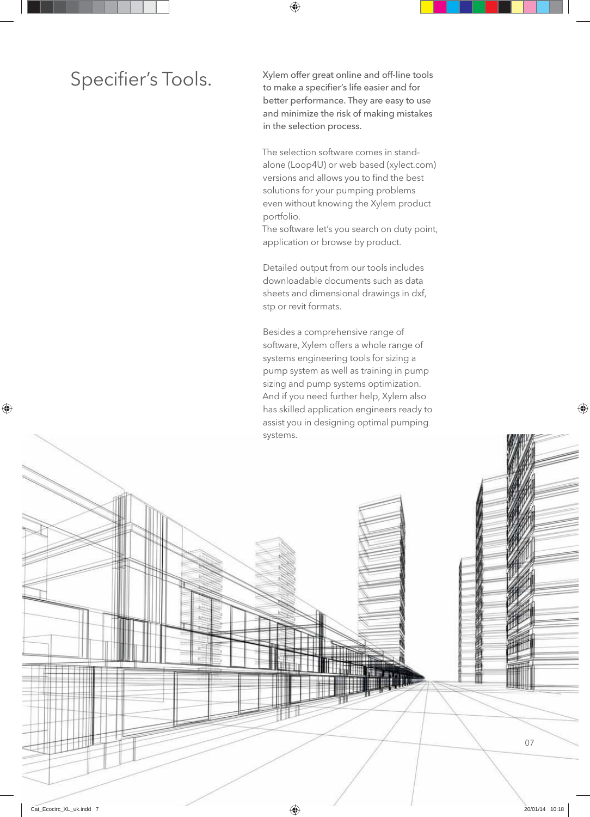Specifier's Tools. Xylem offer great online and off-line tools<br>to make a specifier's life easier and for to make a specifier's life easier and for better performance. They are easy to use and minimize the risk of making mistakes in the selection process.

> The selection software comes in standalone (Loop4U) or web based (xylect.com) versions and allows you to find the best solutions for your pumping problems even without knowing the Xylem product portfolio.

> The software let's you search on duty point, application or browse by product.

Detailed output from our tools includes downloadable documents such as data sheets and dimensional drawings in dxf, stp or revit formats.

Besides a comprehensive range of software, Xylem offers a whole range of systems engineering tools for sizing a pump system as well as training in pump sizing and pump systems optimization. And if you need further help, Xylem also has skilled application engineers ready to assist you in designing optimal pumping systems.

甬 匪